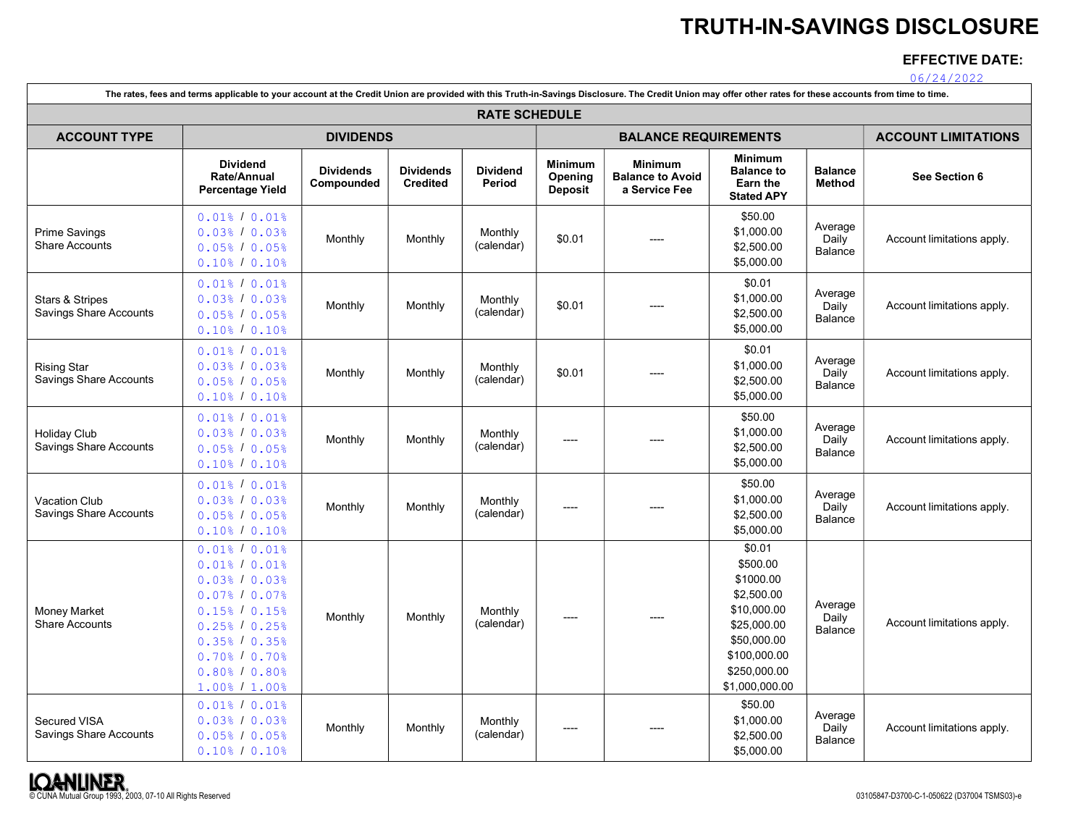# TRUTH-IN-SAVINGS DISCLOSURE

# EFFECTIVE DATE:

06/24/2022

|                                                      | The rates, fees and terms applicable to your account at the Credit Union are provided with this Truth-in-Savings Disclosure. The Credit Union may offer other rates for these accounts from time to time. |                                |                                     |                           |                               |                                                     |                                                                                                                                              |                                    |                            |
|------------------------------------------------------|-----------------------------------------------------------------------------------------------------------------------------------------------------------------------------------------------------------|--------------------------------|-------------------------------------|---------------------------|-------------------------------|-----------------------------------------------------|----------------------------------------------------------------------------------------------------------------------------------------------|------------------------------------|----------------------------|
|                                                      | <b>RATE SCHEDULE</b>                                                                                                                                                                                      |                                |                                     |                           |                               |                                                     |                                                                                                                                              |                                    |                            |
| <b>ACCOUNT TYPE</b>                                  |                                                                                                                                                                                                           | <b>DIVIDENDS</b>               |                                     |                           |                               | <b>BALANCE REQUIREMENTS</b>                         |                                                                                                                                              |                                    | <b>ACCOUNT LIMITATIONS</b> |
|                                                      | <b>Dividend</b><br>Rate/Annual<br><b>Percentage Yield</b>                                                                                                                                                 | <b>Dividends</b><br>Compounded | <b>Dividends</b><br><b>Credited</b> | <b>Dividend</b><br>Period | Minimum<br>Opening<br>Deposit | Minimum<br><b>Balance to Avoid</b><br>a Service Fee | <b>Minimum</b><br><b>Balance to</b><br>Earn the<br><b>Stated APY</b>                                                                         | <b>Balance</b><br><b>Method</b>    | See Section 6              |
| <b>Prime Savings</b><br>Share Accounts               | $0.01$ % / $0.01$ %<br>0.03% / 0.03%<br>0.05% / 0.05%<br>$0.10$ % / $0.10$ %                                                                                                                              | Monthly                        | Monthly                             | Monthly<br>(calendar)     | \$0.01                        |                                                     | \$50.00<br>\$1,000.00<br>\$2,500.00<br>\$5,000.00                                                                                            | Average<br>Daily<br>Balance        | Account limitations apply. |
| Stars & Stripes<br><b>Savings Share Accounts</b>     | $0.01$ % / $0.01$ %<br>0.03% / 0.03%<br>0.05% / 0.05%<br>$0.10$ % / $0.10$ %                                                                                                                              | Monthly                        | Monthly                             | Monthly<br>(calendar)     | \$0.01                        |                                                     | \$0.01<br>\$1,000.00<br>\$2,500.00<br>\$5,000.00                                                                                             | Average<br>Daily<br>Balance        | Account limitations apply. |
| <b>Rising Star</b><br><b>Savings Share Accounts</b>  | $0.01$ % / $0.01$ %<br>0.03% / 0.03%<br>0.05% / 0.05%<br>$0.10$ % / $0.10$ %                                                                                                                              | Monthly                        | Monthly                             | Monthly<br>(calendar)     | \$0.01                        |                                                     | \$0.01<br>\$1,000.00<br>\$2,500.00<br>\$5,000.00                                                                                             | Average<br>Daily<br>Balance        | Account limitations apply. |
| <b>Holiday Club</b><br><b>Savings Share Accounts</b> | $0.01$ % / $0.01$ %<br>0.03% / 0.03%<br>0.05% / 0.05%<br>$0.10\%$ / $0.10\%$                                                                                                                              | Monthly                        | Monthly                             | Monthly<br>(calendar)     | $---$                         | $---$                                               | \$50.00<br>\$1,000.00<br>\$2,500.00<br>\$5,000.00                                                                                            | Average<br>Daily<br>Balance        | Account limitations apply. |
| Vacation Club<br><b>Savings Share Accounts</b>       | $0.01$ % / $0.01$ %<br>0.03% / 0.03%<br>$0.05$ % / $0.05$ %<br>$0.10$ % / $0.10$ %                                                                                                                        | Monthly                        | Monthly                             | Monthly<br>(calendar)     | $---$                         | $---$                                               | \$50.00<br>\$1.000.00<br>\$2,500.00<br>\$5,000.00                                                                                            | Average<br>Daily<br>Balance        | Account limitations apply. |
| <b>Money Market</b><br><b>Share Accounts</b>         | $0.01$ % / $0.01$ %<br>$0.01$ % / $0.01$ %<br>0.03% / 0.03%<br>0.07% / 0.07%<br>$0.15$ % / $0.15$ %<br>0.25% / 0.25%<br>0.35% / 0.35%<br>$0.70$ % $10.70$ %<br>$0.80$ % / $0.80$ %<br>$1.00$ % $/ 1.00$ % | Monthly                        | Monthly                             | Monthly<br>(calendar)     | ----                          |                                                     | \$0.01<br>\$500.00<br>\$1000.00<br>\$2,500.00<br>\$10,000.00<br>\$25,000.00<br>\$50,000.00<br>\$100,000.00<br>\$250,000.00<br>\$1,000,000.00 | Average<br>Daily<br><b>Balance</b> | Account limitations apply. |
| Secured VISA<br><b>Savings Share Accounts</b>        | $0.01$ % / $0.01$ %<br>0.03% / 0.03%<br>0.05% / 0.05%<br>$0.10$ % / $0.10$ %                                                                                                                              | Monthly                        | Monthly                             | Monthly<br>(calendar)     | ----                          |                                                     | \$50.00<br>\$1,000.00<br>\$2,500.00<br>\$5,000.00                                                                                            | Average<br>Daily<br>Balance        | Account limitations apply. |

Г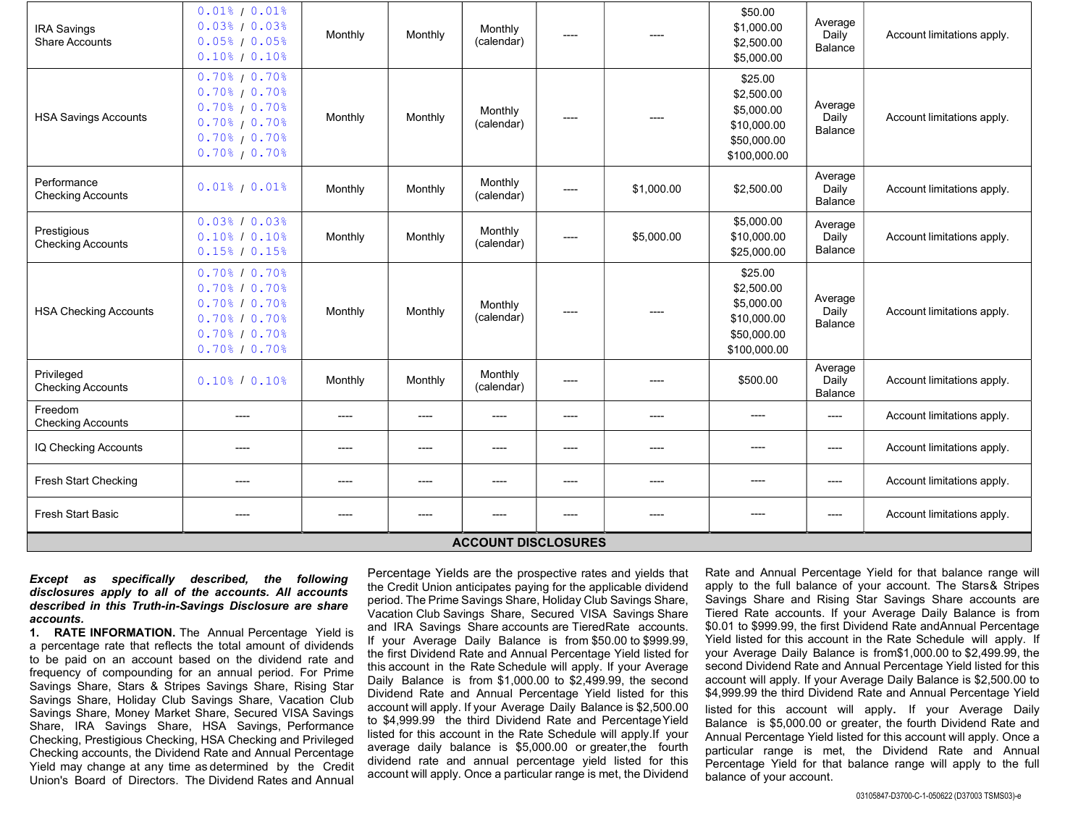| <b>IRA Savings</b><br><b>Share Accounts</b> | $0.01$ <sup>8</sup> / $0.01$ <sup>8</sup><br>0.03% / 0.03%<br>0.05% / 0.05%<br>$0.10\%$ / $0.10\%$                                                 | Monthly | Monthly | Monthly<br>(calendar) | ----  |            | \$50.00<br>\$1,000.00<br>\$2,500.00<br>\$5,000.00                                 | Average<br>Daily<br>Balance        | Account limitations apply. |
|---------------------------------------------|----------------------------------------------------------------------------------------------------------------------------------------------------|---------|---------|-----------------------|-------|------------|-----------------------------------------------------------------------------------|------------------------------------|----------------------------|
| <b>HSA Savings Accounts</b>                 | $0.70$ <sup>8</sup> $10.70$ <sup>8</sup><br>$0.70\%$ / 0.70%<br>$0.70\%$ / $0.70\%$<br>$0.70\%$ / 0.70%<br>$0.70\%$ / 0.70%<br>$0.70\%$ / $0.70\%$ | Monthly | Monthly | Monthly<br>(calendar) | ----  |            | \$25.00<br>\$2,500.00<br>\$5,000.00<br>\$10,000.00<br>\$50,000.00<br>\$100,000.00 | Average<br>Daily<br>Balance        | Account limitations apply. |
| Performance<br><b>Checking Accounts</b>     | $0.01$ <sup>8</sup> / $0.01$ <sup>8</sup>                                                                                                          | Monthly | Monthly | Monthly<br>(calendar) | ----  | \$1,000.00 | \$2,500.00                                                                        | Average<br>Daily<br>Balance        | Account limitations apply. |
| Prestigious<br><b>Checking Accounts</b>     | 0.03% / 0.03%<br>$0.10\%$ / $0.10\%$<br>0.15% / 0.15%                                                                                              | Monthly | Monthly | Monthly<br>(calendar) | ----  | \$5,000.00 | \$5,000.00<br>\$10,000.00<br>\$25,000.00                                          | Average<br>Daily<br>Balance        | Account limitations apply. |
| <b>HSA Checking Accounts</b>                | $0.70$ % $10.70$ %<br>$0.70\%$ / $0.70\%$<br>$0.70\%$ / 0.70%<br>$0.70\%$ / 0.70%<br>$0.70\%$ / 0.70%<br>$0.70\%$ / $0.70\%$                       | Monthly | Monthly | Monthly<br>(calendar) | $---$ | $---$      | \$25.00<br>\$2,500.00<br>\$5,000.00<br>\$10,000.00<br>\$50,000.00<br>\$100,000.00 | Average<br>Daily<br>Balance        | Account limitations apply. |
| Privileged<br><b>Checking Accounts</b>      | $0.10\%$ / $0.10\%$                                                                                                                                | Monthly | Monthly | Monthly<br>(calendar) | ----  | $---$      | \$500.00                                                                          | Average<br>Daily<br><b>Balance</b> | Account limitations apply. |
| Freedom<br><b>Checking Accounts</b>         | ----                                                                                                                                               | $---$   | $---$   | $---$                 | ----  | $---$      | $---$                                                                             | $---$                              | Account limitations apply. |
| IQ Checking Accounts                        | ----                                                                                                                                               | $---$   | $---$   | $---$                 | ----  | $---$      | $---$                                                                             | $---$                              | Account limitations apply. |
| Fresh Start Checking                        | ----                                                                                                                                               | ----    | $---$   | ----                  | ----  | $---$      | $---$                                                                             | ----                               | Account limitations apply. |
| <b>Fresh Start Basic</b>                    | ----                                                                                                                                               | ----    | $---$   | ----                  | ----  | ----       | $---$                                                                             | ----                               | Account limitations apply. |
| <b>ACCOUNT DISCLOSURES</b>                  |                                                                                                                                                    |         |         |                       |       |            |                                                                                   |                                    |                            |

### Except as specifically described, the following disclosures apply to all of the accounts. All accounts described in this Truth-in-Savings Disclosure are share accounts.

1. RATE INFORMATION. The Annual Percentage Yield is a percentage rate that reflects the total amount of dividends to be paid on an account based on the dividend rate and frequency of compounding for an annual period. For Prime Savings Share, Stars & Stripes Savings Share, Rising Star Savings Share, Holiday Club Savings Share, Vacation Club Savings Share, Money Market Share, Secured VISA Savings Share, IRA Savings Share, HSA Savings, Performance Checking, Prestigious Checking, HSA Checking and Privileged Checking accounts, the Dividend Rate and Annual Percentage Yield may change at any time as determined by the Credit Union's Board of Directors. The Dividend Rates and Annual

Percentage Yields are the prospective rates and yields that the Credit Union anticipates paying for the applicable dividend period. The Prime Savings Share, Holiday Club Savings Share, Vacation Club Savings Share, Secured VISA Savings Share and IRA Savings Share accounts are Tiered Rate accounts. If your Average Daily Balance is from \$50.00 to \$999.99, the first Dividend Rate and Annual Percentage Yield listed for this account in the Rate Schedule will apply. If your Average Daily Balance is from \$1,000.00 to \$2,499.99, the second Dividend Rate and Annual Percentage Yield listed for this account will apply. If your Average Daily Balance is \$2,500.00 to \$4,999.99 the third Dividend Rate and Percentage Yield listed for this account in the Rate Schedule will apply. If your average daily balance is \$5,000.00 or greater, the fourth dividend rate and annual percentage yield listed for this account will apply. Once a particular range is met, the Dividend

Rate and Annual Percentage Yield for that balance range will apply to the full balance of your account. The Stars & Stripes Savings Share and Rising Star Savings Share accounts are Tiered Rate accounts. If your Average Daily Balance is from \$0.01 to \$999.99, the first Dividend Rate and Annual Percentage Yield listed for this account in the Rate Schedule will apply. If your Average Daily Balance is from\$1,000.00 to \$2,499.99, the second Dividend Rate and Annual Percentage Yield listed for this account will apply. If your Average Daily Balance is \$2,500.00 to \$4,999.99 the third Dividend Rate and Annual Percentage Yield listed for this account will apply. If your Average Daily Balance is \$5,000.00 or greater, the fourth Dividend Rate and Annual Percentage Yield listed for this account will apply. Once a particular range is met, the Dividend Rate and Annual Percentage Yield for that balance range will apply to the full balance of your account.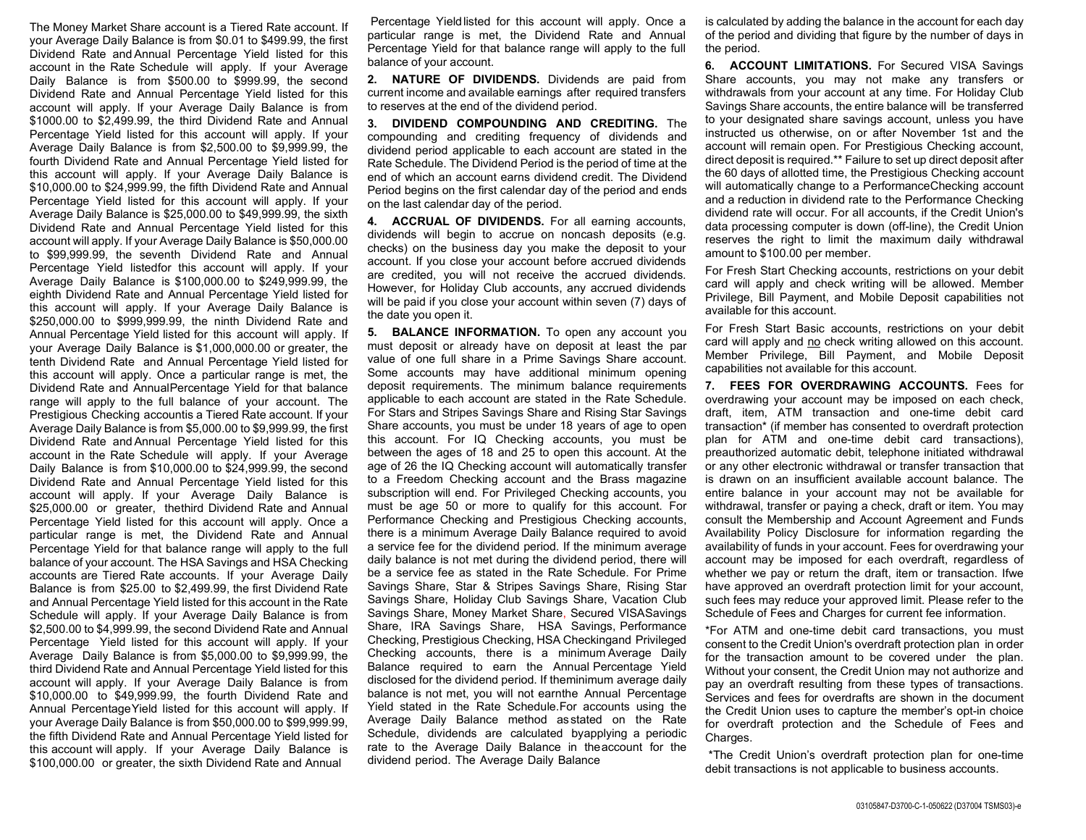The Money Market Share account is a Tiered Rate account. If your Average Daily Balance is from \$0.01 to \$499.99, the first Dividend Rate and Annual Percentage Yield listed for this account in the Rate Schedule will apply. If your Average Daily Balance is from \$500.00 to \$999.99, the second Dividend Rate and Annual Percentage Yield listed for this account will apply. If your Average Daily Balance is from \$1000.00 to \$2,499.99, the third Dividend Rate and Annual Percentage Yield listed for this account will apply. If your Average Daily Balance is from \$2,500.00 to \$9,999.99, the fourth Dividend Rate and Annual Percentage Yield listed for this account will apply. If your Average Daily Balance is \$10,000.00 to \$24,999.99, the fifth Dividend Rate and Annual Percentage Yield listed for this account will apply. If your Average Daily Balance is \$25,000.00 to \$49,999.99, the sixth Dividend Rate and Annual Percentage Yield listed for this account will apply. If your Average Daily Balance is \$50,000.00 to \$99,999.99, the seventh Dividend Rate and Annual Percentage Yield listed for this account will apply. If your Average Daily Balance is \$100,000.00 to \$249,999.99, the eighth Dividend Rate and Annual Percentage Yield listed for this account will apply. If your Average Daily Balance is \$250,000.00 to \$999,999.99, the ninth Dividend Rate and Annual Percentage Yield listed for this account will apply. If your Average Daily Balance is \$1,000,000.00 or greater, the tenth Dividend Rate and Annual Percentage Yield listed for this account will apply. Once a particular range is met, the Dividend Rate and Annual Percentage Yield for that balance range will apply to the full balance of your account. The Prestigious Checking accountis a Tiered Rate account. If your Average Daily Balance is from \$5,000.00 to \$9,999.99, the first Dividend Rate and Annual Percentage Yield listed for this account in the Rate Schedule will apply. If your Average Daily Balance is from \$10,000.00 to \$24,999.99, the second Dividend Rate and Annual Percentage Yield listed for this account will apply. If your Average Daily Balance is \$25,000.00 or greater, thethird Dividend Rate and Annual Percentage Yield listed for this account will apply. Once a particular range is met, the Dividend Rate and Annual Percentage Yield for that balance range will apply to the full balance of your account. The HSA Savings and HSA Checking accounts are Tiered Rate accounts. If your Average Daily Balance is from \$25.00 to \$2,499.99, the first Dividend Rate and Annual Percentage Yield listed for this account in the Rate Schedule will apply. If your Average Daily Balance is from \$2,500.00 to \$4,999.99, the second Dividend Rate and Annual Percentage Yield listed for this account will apply. If your Average Daily Balance is from \$5,000.00 to \$9,999.99, the third Dividend Rate and Annual Percentage Yield listed for this account will apply. If your Average Daily Balance is from \$10,000.00 to \$49,999.99, the fourth Dividend Rate and Annual Percentage Yield listed for this account will apply. If your Average Daily Balance is from \$50,000.00 to \$99,999.99, the fifth Dividend Rate and Annual Percentage Yield listed for this account will apply. If your Average Daily Balance is \$100,000.00 or greater, the sixth Dividend Rate and Annual

 Percentage Yield listed for this account will apply. Once a particular range is met, the Dividend Rate and Annual Percentage Yield for that balance range will apply to the full balance of your account.

2. NATURE OF DIVIDENDS. Dividends are paid from current income and available earnings after required transfers to reserves at the end of the dividend period.

3. DIVIDEND COMPOUNDING AND CREDITING. The compounding and crediting frequency of dividends and dividend period applicable to each account are stated in the Rate Schedule. The Dividend Period is the period of time at the end of which an account earns dividend credit. The Dividend Period begins on the first calendar day of the period and ends on the last calendar day of the period.

4. **ACCRUAL OF DIVIDENDS.** For all earning accounts, dividends will begin to accrue on noncash deposits (e.g. checks) on the business day you make the deposit to your account. If you close your account before accrued dividends are credited, you will not receive the accrued dividends. However, for Holiday Club accounts, any accrued dividends will be paid if you close your account within seven (7) days of the date you open it.

5. BALANCE INFORMATION. To open any account you must deposit or already have on deposit at least the par value of one full share in a Prime Savings Share account. Some accounts may have additional minimum opening deposit requirements. The minimum balance requirements applicable to each account are stated in the Rate Schedule. For Stars and Stripes Savings Share and Rising Star Savings Share accounts, you must be under 18 years of age to open this account. For IQ Checking accounts, you must be between the ages of 18 and 25 to open this account. At the age of 26 the IQ Checking account will automatically transfer to a Freedom Checking account and the Brass magazine subscription will end. For Privileged Checking accounts, you must be age 50 or more to qualify for this account. For Performance Checking and Prestigious Checking accounts, there is a minimum Average Daily Balance required to avoid a service fee for the dividend period. If the minimum average daily balance is not met during the dividend period, there will be a service fee as stated in the Rate Schedule. For Prime Savings Share, Star & Stripes Savings Share, Rising Star Savings Share, Holiday Club Savings Share, Vacation Club Savings Share, Money Market Share, Secured VISA Savings Share, IRA Savings Share, HSA Savings, Performance Checking, Prestigious Checking, HSA Checking and Privileged Checking accounts, there is a minimum Average Daily Balance required to earn the Annual Percentage Yield disclosed for the dividend period. If the minimum average daily balance is not met, you will not earn the Annual Percentage Yield stated in the Rate Schedule. For accounts using the Average Daily Balance method as stated on the Rate Schedule, dividends are calculated by applying a periodic rate to the Average Daily Balance in the account for the dividend period. The Average Daily Balance

is calculated by adding the balance in the account for each day of the period and dividing that figure by the number of days in the period.

**6. ACCOUNT LIMITATIONS.** For Secured VISA Savings Share accounts, you may not make any transfers or withdrawals from your account at any time. For Holiday Club Savings Share accounts, the entire balance will be transferred to your designated share savings account, unless you have instructed us otherwise, on or after November 1st and the account will remain open. For Prestigious Checking account, direct deposit is required.\*\* Failure to set up direct deposit after the 60 days of allotted time, the Prestigious Checking account will automatically change to a Performance Checking account and a reduction in dividend rate to the Performance Checking dividend rate will occur. For all accounts, if the Credit Union's data processing computer is down (off-line), the Credit Union reserves the right to limit the maximum daily withdrawal amount to \$100.00 per member.

For Fresh Start Checking accounts, restrictions on your debit card will apply and check writing will be allowed. Member Privilege, Bill Payment, and Mobile Deposit capabilities not available for this account.

For Fresh Start Basic accounts, restrictions on your debit card will apply and no check writing allowed on this account. Member Privilege, Bill Payment, and Mobile Deposit capabilities not available for this account.

7. FEES FOR OVERDRAWING ACCOUNTS. Fees for overdrawing your account may be imposed on each check, draft, item, ATM transaction and one-time debit card transaction\* (if member has consented to overdraft protection plan for ATM and one-time debit card transactions), preauthorized automatic debit, telephone initiated withdrawal or any other electronic withdrawal or transfer transaction that is drawn on an insufficient available account balance. The entire balance in your account may not be available for withdrawal, transfer or paying a check, draft or item. You may consult the Membership and Account Agreement and Funds Availability Policy Disclosure for information regarding the availability of funds in your account. Fees for overdrawing your account may be imposed for each overdraft, regardless of whether we pay or return the draft, item or transaction. If we have approved an overdraft protection limit for your account, such fees may reduce your approved limit. Please refer to the Schedule of Fees and Charges for current fee information.

\*For ATM and one-time debit card transactions, you must consent to the Credit Union's overdraft protection plan in order for the transaction amount to be covered under the plan. Without your consent, the Credit Union may not authorize and pay an overdraft resulting from these types of transactions. Services and fees for overdrafts are shown in the document the Credit Union uses to capture the member's opt-in choice for overdraft protection and the Schedule of Fees and Charges.

 \*The Credit Union's overdraft protection plan for one-time debit transactions is not applicable to business accounts.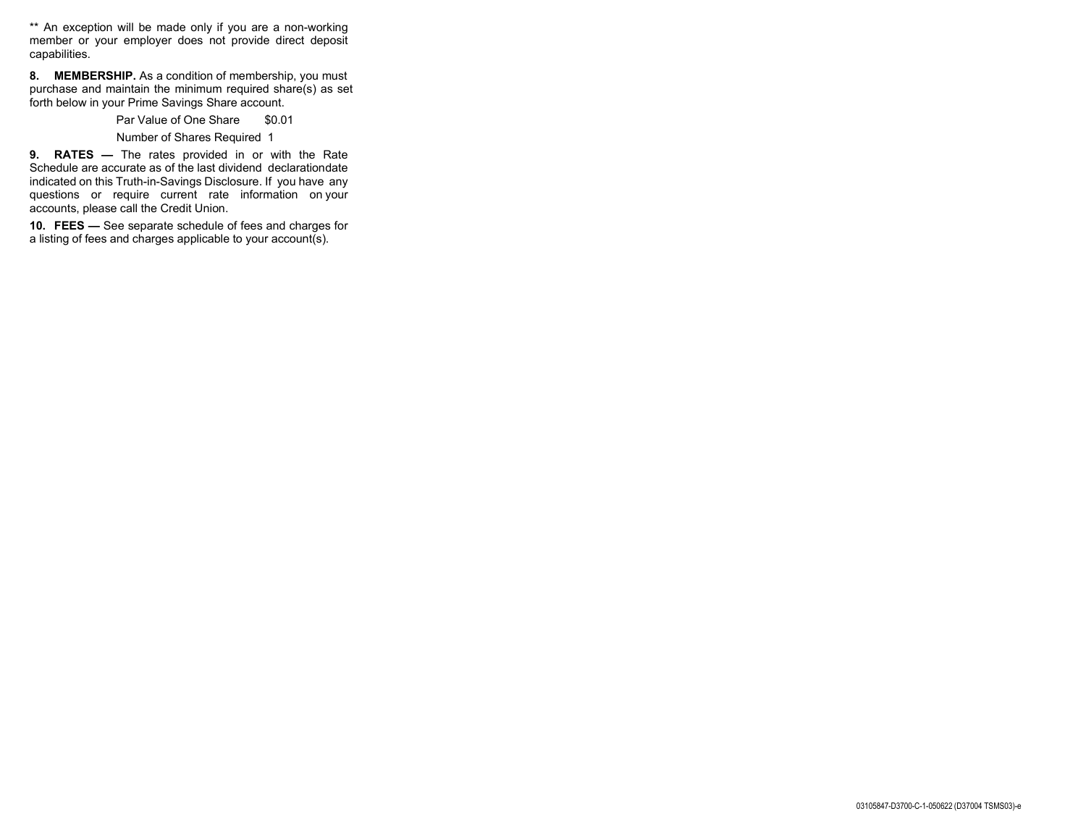\*\* An exception will be made only if you are a non-working member or your employer does not provide direct deposit capabilities.

8. MEMBERSHIP. As a condition of membership, you must purchase and maintain the minimum required share(s) as set forth below in your Prime Savings Share account.

Par Value of One Share \$0.01

Number of Shares Required 1

9. RATES — The rates provided in or with the Rate Schedule are accurate as of the last dividend declaration date indicated on this Truth-in-Savings Disclosure. If you have any questions or require current rate information on your accounts, please call the Credit Union.

10. FEES — See separate schedule of fees and charges for a listing of fees and charges applicable to your account(s).